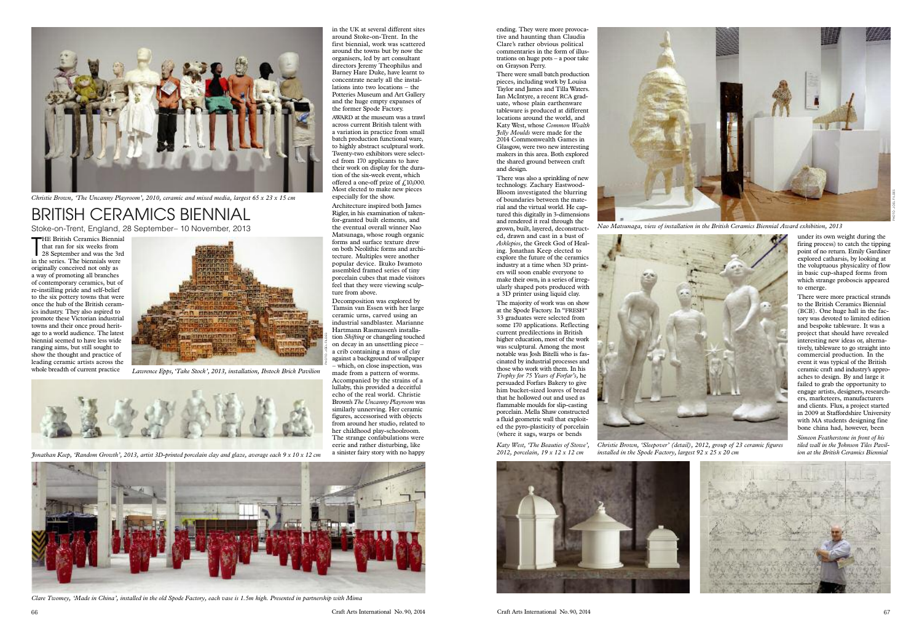66 Craft Arts International No.90, 2014 Craft Arts International No.90, 2014 67

ending. They were more provocative and haunting than Claudia Clare's rather obvious political commentaries in the form of illustrations on huge pots–a poor take on Grayson Perry.

There were small batch production pieces, including work by Louisa Taylor and James and Tilla Waters. Ian McIntyre, a recent RCA graduate, whose plain earthenware tableware is produced at different locations around the world, and Katy West, whose *Common Wealth Jelly Moulds* were made for the 2014 Commonwealth Games in Glasgow, were two new interesting makers in this area. Both explored the shared ground between craft and design.

There was also a sprinkling of new technology. Zachary Eastwood-Bloom investigated the blurring of boundaries between the material and the virtual world. He captured this digitally in 3-dimensions and rendered it real through the grown, built, layered, deconstructed, drawn and cast in a bust of *Asklepios,* the Greek God of Healing. Jonathan Keep elected to explore the future of the ceramics industry at a time when 3D printers will soon enable everyone to make their own, in a series of irregularly shaped pots produced with a 3D printer using liquid clay.

THE British Ceramics Biennial<br>that ran for six weeks from<br>28 September and was the 3rd<br>in the series. The biennials were **THE British Ceramics Biennial** that ran for six weeks from in the series. The biennials were originally conceived not only as a way of promoting all branches of contemporary ceramics, but of re-instilling pride and self-belief to the six pottery towns that were once the hub of the British ceramics industry. They also aspired to promote these Victorian industrial towns and their once proud heritage to a world audience. The latest biennial seemed to have less wide ranging aims, but still sought to show the thought and practice of leading ceramic artists across the whole breadth of current practice

The majority of work was on show at the Spode Factory. In "FRESH" 33 graduates were selected from some 170 applications. Reflecting current predilections in British higher education, most of the work was sculptural. Among the most notable was Josh Bitelli who is fascinated by industrial processes and those who work with them. In his *Trophy for 75 Years of Forfar's,* he persuaded Forfars Bakery to give him bucket-sized loaves of bread that he hollowed out and used as flammable moulds for slip-casting porcelain. Mella Shaw constructed a fluid geometric wall that exploited the pyro-plasticity of porcelain (where it sags, warps or bends

## BRITISH CERAMICS BIENNIAL Stoke-on-Trent, England, 28 September– 10 November, 2013





*installed in the Spode Factory, largest 92 x 25 x 20 cm*

PHOTO:.JOEL FILDES

in the UK at several different sites around Stoke-on-Trent. In the first biennial, work was scattered around the towns but by now the organisers, led by art consultant directors Jeremy Theophilus and Barney Hare Duke, have learnt to concentrate nearly all the installations into two locations – the Potteries Museum and Art Gallery and the huge empty expanses of the former Spode Factory.

AWARD at the museum was a trawl across current British talent with a variation in practice from small batch production functional ware, to highly abstract sculptural work. Twenty-two exhibitors were selected from 170 applicants to have their work on display for the duration of the six-week event, which offered a one-off prize of  $f<sub>i</sub>10,000$ . Most elected to make new pieces especially for the show.

Architecture inspired both James Rigler, in his examination of takenfor-granted built elements, and the eventual overall winner Nao Matsunaga, whose rough organic forms and surface texture drew on both Neolithic forms and architecture. Multiples were another popular device. Ikuko Iwamoto assembled framed series of tiny porcelain cubes that made visitors feel that they were viewing sculpture from above.

Decomposition was explored by Tamsin van Essen with her large ceramic urns, carved using an industrial sandblaster. Marianne Hartmann Rasmussen's installation *Skifting* or changeling touched on decay in an unsettling piece – a crib containing a mass of clay against a background of wallpaper – which, on close inspection, was

made from a pattern of worms. Accompanied by the strains of a lullaby, this provided a deceitful echo of the real world. Christie Brown's*The Uncanny Playroom* was similarly unnerving. Her ceramic figures, accessorised with objects from around her studio, related to her childhood play-schoolroom. The strange confabulations were eerie and rather disturbing, like a sinister fairy story with no happy



Clare Twomey, 'Made in China', installed in the old Spode Factory, each vase is 1.5m high. Presented in partnership with Mima

*Simeon Featherstone in front of his tiled wall in the Johnson Tiles Pavilion at the British Ceramics Biennial*



There were more practical strands to the British Ceramics Biennial (BCB). One huge hall in the factory was devoted to limited edition and bespoke tableware. It was a project that should have revealed interesting new ideas or, alternatively, tableware to go straight into commercial production. In the event it was typical of the British ceramic craft and industry's approaches to design. By and large it failed to grab the opportunity to engage artists, designers, researchers, marketeers, manufacturers and clients. Flux, a project started in 2009 at Staffordshire University with MA students designing fine bone china had, however, been





*Christie Brown, 'The Uncanny Playroom', 2010, ceramic and mixed media, largest 65 x 23 x 15 cm*



*Lawrence Epps,'Take Stock', 2013, installation, Ibstock Brick Pavilion*



Jonathan Keep, 'Random Growth', 2013, artist 3D-printed porcelain clay and glaze, average each  $9 \times 10 \times 12$  cm

*Katy West, 'The Beauties of Stowe', 2012, porcelain, 19 x 12 x 12 cm*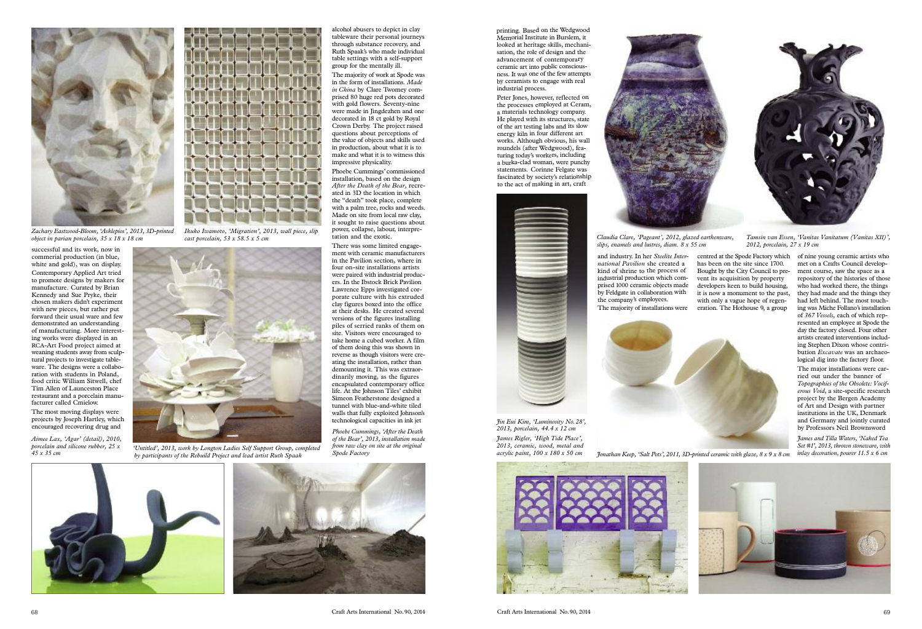

Peter Jones, however, reflected on the processes employed at Ceram, <sup>a</sup> materials technology company. He played with its structures, state of the art testing labs and its slow energy kiln in four different art works. Although obvious, his wall roundels (after Wedgwood), featuring today's workers, including <sup>a</sup> burka-clad woman, were punchy statements. Corinne Felgate was fascinated by society's relationship to the act of making in art, craft



successful and its work, now in commerial production (in blue, white and gold), was on display. Contemporary Applied Art tried to promote designs by makers for manufacture. Curated by Brian Kennedy and Sue Pryke, their chosen makers didn't experiment with new pieces, but rather put forward their usual ware and few demonstrated an understanding of manufacturing. More interesting works were displayed in an RCA-Art Food project aimed at weaning students away from sculptural projects to investigate tableware. The designs were a collaboration with students in Poland, food critic William Sitwell, chef Tim Allen of Launceston Place restaurant and a porcelain manufacturer called Cmielow.

The most moving displays were projects by Joseph Hartley, which encouraged recovering drug and

alcohol abusers to depict in clay tableware their personal journeys through substance recovery, and Ruth Spaak's who made individual table settings with a self-support group for the mentally ill.

The majority of work at Spode was in the form of installations. *Made in China* by Clare Twomey comprised 80 huge red pots decorated with gold flowers. Seventy-nine were made in Jingdezhen and one decorated in 18 ct gold by Royal Crown Derby. The project raised questions about perceptions of the value of objects and skills used in production, about what it is to make and what it is to witness this impressive physicality.

Phoebe Cummings'commissioned installation, based on the design *After the Death of the Bear,* recreated in 3D the location in which the "death" took place, complete with a palm tree, rocks and weeds. Made on site from local raw clay, it sought to raise questions about power, collapse, labour, interpretation and the exotic.

There was some limited engagement with ceramic manufacturers in the Pavilion section, where in four on-site installations artists were paired with industrial producers. In the Ibstock Brick Pavilion Lawrence Epps investigated corporate culture with his extruded clay figures boxed into the office at their desks. He created several versions of the figures installing piles of serried ranks of them on site. Visitors were encouraged to take home a cubed worker. A film of them doing this was shown in reverse as though visitors were creating the installation, rather than demounting it. This was extraordinarily moving, as the figures encapsulated contemporary office life. At the Johnson Tiles' exhibit Simeon Featherstone designed a tunnel with blue-and-white tiled walls that fully exploited Johnson's

technological capacities in ink jet



*Phoebe Cummings, 'After the Death of the Bear', 2013, installation made from raw clay on site at the original Spode Factory*



*James Rigler, 'High Tide Place', 2013, ceramic, wood, metal and acrylic paint, 100 x 180 x 50 cm Jin Eui Kim, 'Luminosity No.28', 2013, porcelain, 44.4 x 12 cm*







*James and Tilla Waters, 'Naked Tea Set #1', 2013, thrown stoneware, with inlay decoration, pourer 11.5 x 6 cm*



*Claudia Clare, 'Pageant', 2012, glazed earthenware, slips, enamels and lustres, diam. 8 x 55 cm*

*Tamsin van Essen, 'Vanitas Vanitatum (Vanitas XII)', 2012, porcelain, 27 x 19 cm*



*Jonathan Keep, 'Salt Pots', 2011, 3D-printed ceramic with glaze,8x 9 x 8 cm*

*Aimee Lax, 'Agar' (detail), 2010, porcelain and silicone rubber, 25 x*



*<sup>45</sup> <sup>x</sup> <sup>35</sup> cm 'Untitled', 2013, work by Longton Ladies Self Support Group, completed by participants of the Rebuild Project and lead artist Ruth Spaak*



*Zachary Eastwood-Bloom, 'Asklepios', 2013, 3D-printed object in parian porcelain, 35 x 18 x 18 cm*



*Ikuko Iwamoto, 'Migration', 2013, wall piece, slip cast porcelain, 53 x 58.5 x 5 cm*

and industry. In her *Steelite International Pavilion* she created <sup>a</sup> kind of shrine to the process of industrial production which comprised <sup>1000</sup> ceramic objects made by Feldgate in collaboration with the company's employees. The majority of installations were centred at the Spode Factory which has been on the site since 1700. Bought by the City Council to prevent its acquisition by property developers keen to build housing, it is now a monument to the past, with only a vague hope of regeneration. The Hothouse 9, a group

of nine young ceramic artists who met on a Crafts Council development course, saw the space as a repository of the histories of those who had worked there, the things they had made and the things they had left behind. The most touching was Miche Follano's installation of *367 Vessels,* each of which represented an employee at Spode the day the factory closed. Four other artists created interventions including Stephen Dixon whose contribution *Excavate* was an archaeological dig into the factory floor.

The major installations were carried out under the banner of *Topographies of the Obsolete: Vociferous Void*, a site-specific research project by the Bergen Academy of Art and Design with partner institutions in the UK, Denmark and Germany and jointly curated by Professors Neil Brownsword